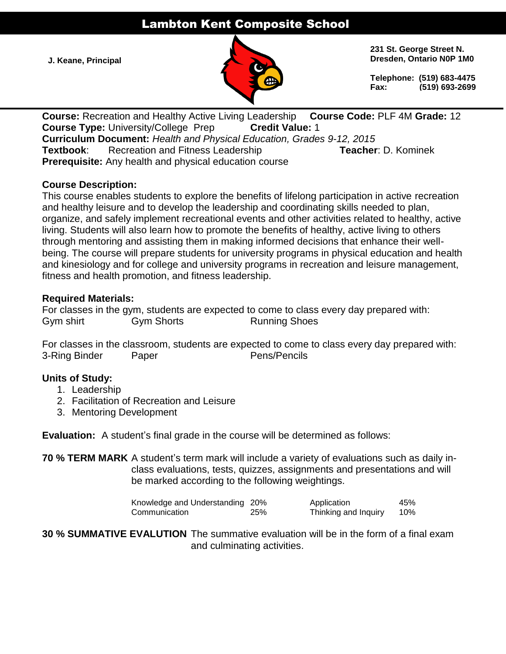# Lambton Kent Composite School

**J. Keane, Principal**



**231 St. George Street N. Dresden, Ontario N0P 1M0**

**Telephone: (519) 683-4475 Fax: (519) 693-2699**

**Course:** Recreation and Healthy Active Living Leadership **Course Code:** PLF 4M **Grade:** 12 **Course Type:** University/College Prep **Credit Value:** 1 **Curriculum Document:** *Health and Physical Education, Grades 9-12, 2015* **Textbook:** Recreation and Fitness Leadership **Teacher: D. Kominek Prerequisite:** Any health and physical education course

### **Course Description:**

This course enables students to explore the benefits of lifelong participation in active recreation and healthy leisure and to develop the leadership and coordinating skills needed to plan, organize, and safely implement recreational events and other activities related to healthy, active living. Students will also learn how to promote the benefits of healthy, active living to others through mentoring and assisting them in making informed decisions that enhance their wellbeing. The course will prepare students for university programs in physical education and health and kinesiology and for college and university programs in recreation and leisure management, fitness and health promotion, and fitness leadership.

### **Required Materials:**

For classes in the gym, students are expected to come to class every day prepared with: Gym shirt **Gym Shorts** Running Shoes

For classes in the classroom, students are expected to come to class every day prepared with: 3-Ring Binder Paper Pens/Pencils

## **Units of Study:**

- 1. Leadership
- 2. Facilitation of Recreation and Leisure
- 3. Mentoring Development

**Evaluation:** A student's final grade in the course will be determined as follows:

**70 % TERM MARK** A student's term mark will include a variety of evaluations such as daily inclass evaluations, tests, quizzes, assignments and presentations and will be marked according to the following weightings.

| Knowledge and Understanding 20% |     | Application          | 45% |
|---------------------------------|-----|----------------------|-----|
| Communication                   | 25% | Thinking and Inquiry | 10% |

**30 % SUMMATIVE EVALUTION** The summative evaluation will be in the form of a final exam and culminating activities.